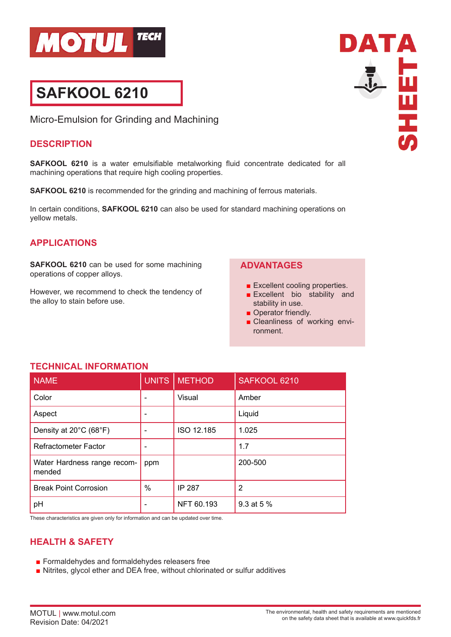

# **SAFKOOL 6210**

Micro-Emulsion for Grinding and Machining

#### **DESCRIPTION**

**SAFKOOL 6210** is a water emulsifiable metalworking fluid concentrate dedicated for all machining operations that require high cooling properties.

**SAFKOOL 6210** is recommended for the grinding and machining of ferrous materials.

In certain conditions, **SAFKOOL 6210** can also be used for standard machining operations on yellow metals.

## **APPLICATIONS**

**SAFKOOL 6210** can be used for some machining operations of copper alloys.

However, we recommend to check the tendency of the alloy to stain before use.

#### **ADVANTAGES**

- Excellent cooling properties.
- Excellent bio stability and stability in use.
- Operator friendly.
- Cleanliness of working environment.

| <b>NAME</b>                           | <b>UNITS</b> | <b>METHOD</b> | SAFKOOL 6210 |
|---------------------------------------|--------------|---------------|--------------|
| Color                                 |              | Visual        | Amber        |
| Aspect                                |              |               | Liquid       |
| Density at 20°C (68°F)                |              | ISO 12.185    | 1.025        |
| <b>Refractometer Factor</b>           |              |               | 1.7          |
| Water Hardness range recom-<br>mended | ppm          |               | 200-500      |
| <b>Break Point Corrosion</b>          | %            | <b>IP 287</b> | 2            |
| pH                                    |              | NFT 60.193    | 9.3 at 5 %   |

**TECHNICAL INFORMATION**

These characteristics are given only for information and can be updated over time.

### **HEALTH & SAFETY**

- Formaldehydes and formaldehydes releasers free
- Nitrites, glycol ether and DEA free, without chlorinated or sulfur additives